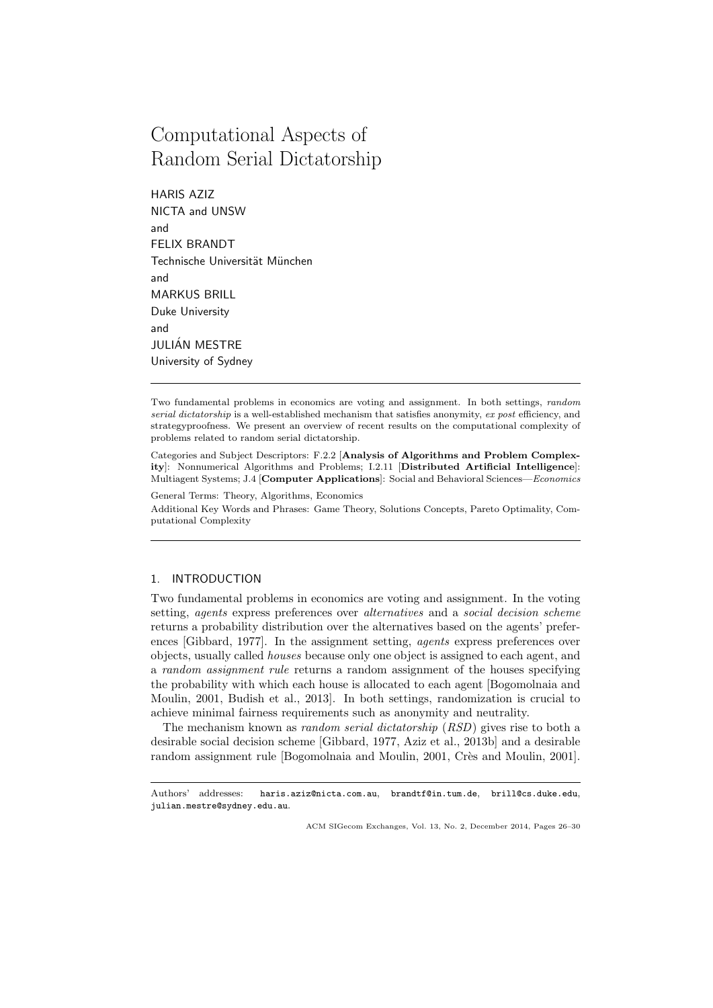# Computational Aspects of Random Serial Dictatorship

HARIS AZIZ NICTA and UNSW and FELIX BRANDT Technische Universität München and MARKUS BRILL Duke University and JULIÁN MESTRE University of Sydney

Two fundamental problems in economics are voting and assignment. In both settings, random serial dictatorship is a well-established mechanism that satisfies anonymity, ex post efficiency, and strategyproofness. We present an overview of recent results on the computational complexity of problems related to random serial dictatorship.

Categories and Subject Descriptors: F.2.2 [Analysis of Algorithms and Problem Complexity]: Nonnumerical Algorithms and Problems; I.2.11 [Distributed Artificial Intelligence]: Multiagent Systems; J.4 [Computer Applications]: Social and Behavioral Sciences—Economics

General Terms: Theory, Algorithms, Economics Additional Key Words and Phrases: Game Theory, Solutions Concepts, Pareto Optimality, Computational Complexity

## 1. INTRODUCTION

Two fundamental problems in economics are voting and assignment. In the voting setting, *agents* express preferences over *alternatives* and a *social decision scheme* returns a probability distribution over the alternatives based on the agents' preferences [Gibbard, 1977]. In the assignment setting, agents express preferences over objects, usually called houses because only one object is assigned to each agent, and a random assignment rule returns a random assignment of the houses specifying the probability with which each house is allocated to each agent [Bogomolnaia and Moulin, 2001, Budish et al., 2013]. In both settings, randomization is crucial to achieve minimal fairness requirements such as anonymity and neutrality.

The mechanism known as random serial dictatorship (RSD) gives rise to both a desirable social decision scheme [Gibbard, 1977, Aziz et al., 2013b] and a desirable random assignment rule [Bogomolnaia and Moulin, 2001, Crès and Moulin, 2001].

Authors' addresses: haris.aziz@nicta.com.au, brandtf@in.tum.de, brill@cs.duke.edu, julian.mestre@sydney.edu.au.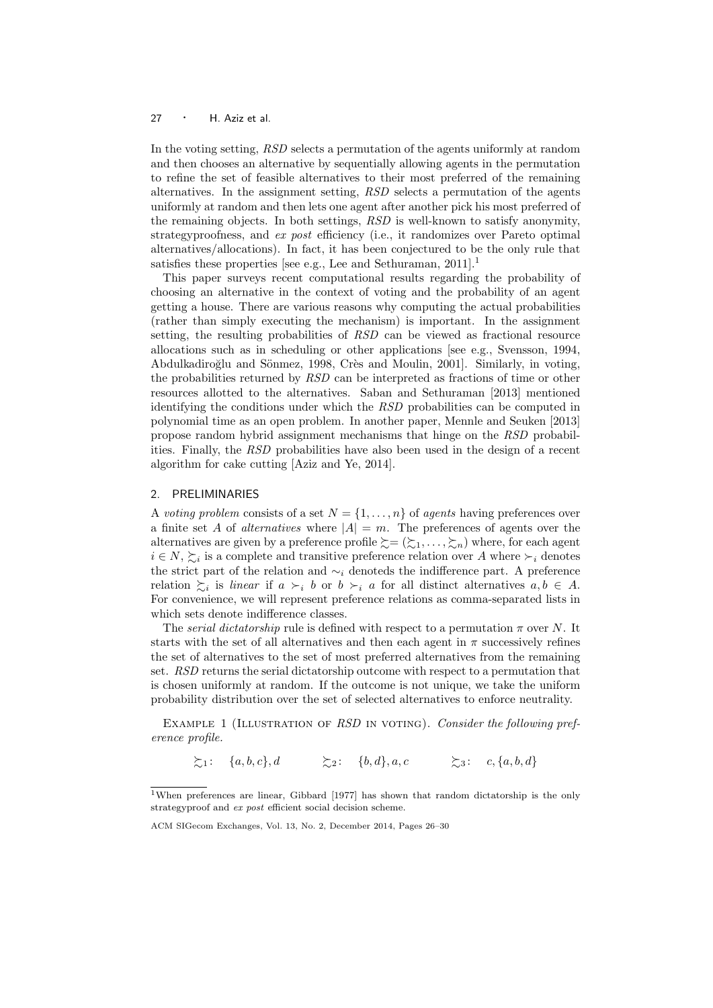#### 27 · H. Aziz et al.

In the voting setting, RSD selects a permutation of the agents uniformly at random and then chooses an alternative by sequentially allowing agents in the permutation to refine the set of feasible alternatives to their most preferred of the remaining alternatives. In the assignment setting, RSD selects a permutation of the agents uniformly at random and then lets one agent after another pick his most preferred of the remaining objects. In both settings, RSD is well-known to satisfy anonymity, strategyproofness, and ex post efficiency (i.e., it randomizes over Pareto optimal alternatives/allocations). In fact, it has been conjectured to be the only rule that satisfies these properties [see e.g., Lee and Sethuraman,  $2011$ ].<sup>1</sup>

This paper surveys recent computational results regarding the probability of choosing an alternative in the context of voting and the probability of an agent getting a house. There are various reasons why computing the actual probabilities (rather than simply executing the mechanism) is important. In the assignment setting, the resulting probabilities of RSD can be viewed as fractional resource allocations such as in scheduling or other applications [see e.g., Svensson, 1994, Abdulkadiroğlu and Sönmez, 1998, Crès and Moulin, 2001]. Similarly, in voting, the probabilities returned by RSD can be interpreted as fractions of time or other resources allotted to the alternatives. Saban and Sethuraman [2013] mentioned identifying the conditions under which the RSD probabilities can be computed in polynomial time as an open problem. In another paper, Mennle and Seuken [2013] propose random hybrid assignment mechanisms that hinge on the RSD probabilities. Finally, the RSD probabilities have also been used in the design of a recent algorithm for cake cutting [Aziz and Ye, 2014].

## 2. PRELIMINARIES

A voting problem consists of a set  $N = \{1, \ldots, n\}$  of agents having preferences over a finite set A of *alternatives* where  $|A| = m$ . The preferences of agents over the alternatives are given by a preference profile  $\succsim = (\succsim_1, \ldots, \succsim_n)$  where, for each agent  $i \in N$ ,  $\succsim_i$  is a complete and transitive preference relation over A where  $\succ_i$  denotes the strict part of the relation and  $\sim_i$  denoteds the indifference part. A preference relation  $\sum_i$  is linear if  $a \succ_i b$  or  $b \succ_i a$  for all distinct alternatives  $a, b \in A$ . For convenience, we will represent preference relations as comma-separated lists in which sets denote indifference classes.

The *serial dictatorship* rule is defined with respect to a permutation  $\pi$  over N. It starts with the set of all alternatives and then each agent in  $\pi$  successively refines the set of alternatives to the set of most preferred alternatives from the remaining set. RSD returns the serial dictatorship outcome with respect to a permutation that is chosen uniformly at random. If the outcome is not unique, we take the uniform probability distribution over the set of selected alternatives to enforce neutrality.

EXAMPLE 1 (ILLUSTRATION OF  $RSD$  IN VOTING). Consider the following preference profile.

 $\sum_{1}: \{a, b, c\}, d \qquad \sum_{2}: \{b, d\}, a, c \qquad \sum_{3}: \{c, \{a, b, d\}, d\}$ 

<sup>1</sup>When preferences are linear, Gibbard [1977] has shown that random dictatorship is the only strategyproof and ex post efficient social decision scheme.

ACM SIGecom Exchanges, Vol. 13, No. 2, December 2014, Pages 26–30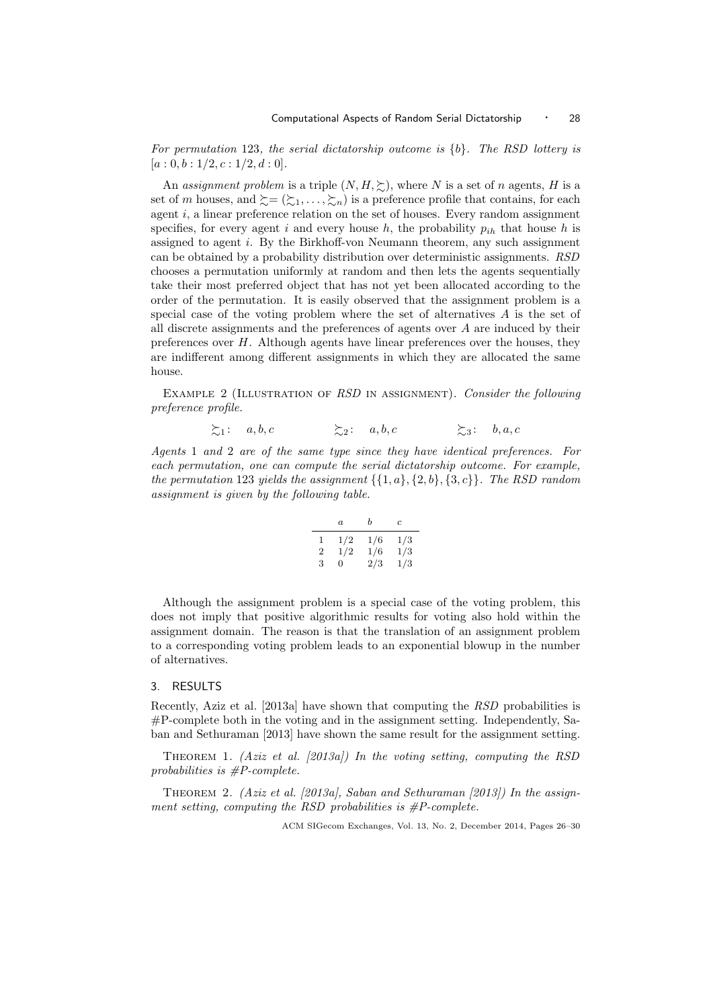For permutation 123, the serial dictatorship outcome is  ${b}$ . The RSD lottery is  $[a: 0, b: 1/2, c: 1/2, d: 0].$ 

An assignment problem is a triple  $(N, H, \geq)$ , where N is a set of n agents, H is a set of m houses, and  $\succeq = (\succeq_1, \ldots, \succeq_n)$  is a preference profile that contains, for each agent  $i$ , a linear preference relation on the set of houses. Every random assignment specifies, for every agent i and every house h, the probability  $p_{ih}$  that house h is assigned to agent i. By the Birkhoff-von Neumann theorem, any such assignment can be obtained by a probability distribution over deterministic assignments. RSD chooses a permutation uniformly at random and then lets the agents sequentially take their most preferred object that has not yet been allocated according to the order of the permutation. It is easily observed that the assignment problem is a special case of the voting problem where the set of alternatives  $A$  is the set of all discrete assignments and the preferences of agents over A are induced by their preferences over  $H$ . Although agents have linear preferences over the houses, they are indifferent among different assignments in which they are allocated the same house.

EXAMPLE 2 (ILLUSTRATION OF  $RSD$  IN ASSIGNMENT). Consider the following preference profile.

$$
\Sigma_1: \quad a, b, c \qquad \qquad \Sigma_2: \quad a, b, c \qquad \qquad \Sigma_3: \quad b, a, c
$$

Agents 1 and 2 are of the same type since they have identical preferences. For each permutation, one can compute the serial dictatorship outcome. For example, the permutation 123 yields the assignment  $\{\{1, a\}, \{2, b\}, \{3, c\}\}\$ . The RSD random assignment is given by the following table.

$$
\begin{array}{c|cc} a & b & c \\ \hline 1 & 1/2 & 1/6 & 1/3 \\ 2 & 1/2 & 1/6 & 1/3 \\ 3 & 0 & 2/3 & 1/3 \\ \end{array}
$$

Although the assignment problem is a special case of the voting problem, this does not imply that positive algorithmic results for voting also hold within the assignment domain. The reason is that the translation of an assignment problem to a corresponding voting problem leads to an exponential blowup in the number of alternatives.

#### 3. RESULTS

Recently, Aziz et al. [2013a] have shown that computing the RSD probabilities is #P-complete both in the voting and in the assignment setting. Independently, Saban and Sethuraman [2013] have shown the same result for the assignment setting.

THEOREM 1. (Aziz et al. [2013a]) In the voting setting, computing the RSD probabilities is #P-complete.

THEOREM 2. (Aziz et al. [2013a], Saban and Sethuraman [2013]) In the assignment setting, computing the RSD probabilities is  $\#P\text{-complete}$ .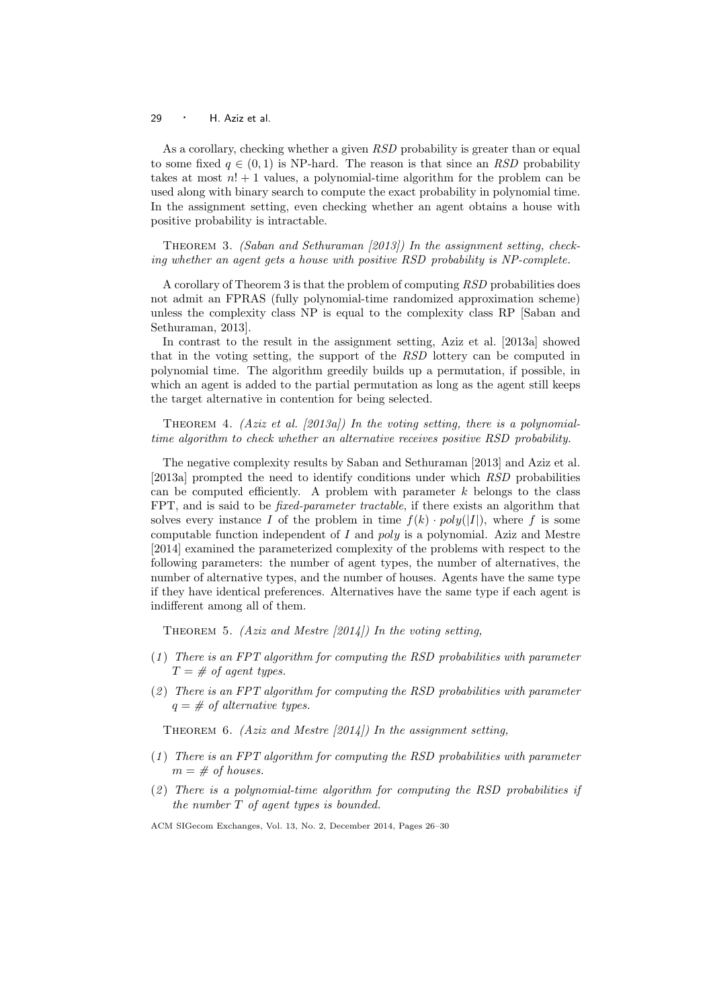29 · H. Aziz et al.

As a corollary, checking whether a given RSD probability is greater than or equal to some fixed  $q \in (0,1)$  is NP-hard. The reason is that since an RSD probability takes at most  $n! + 1$  values, a polynomial-time algorithm for the problem can be used along with binary search to compute the exact probability in polynomial time. In the assignment setting, even checking whether an agent obtains a house with positive probability is intractable.

THEOREM 3. (Saban and Sethuraman [2013]) In the assignment setting, checking whether an agent gets a house with positive RSD probability is NP-complete.

A corollary of Theorem 3 is that the problem of computing RSD probabilities does not admit an FPRAS (fully polynomial-time randomized approximation scheme) unless the complexity class NP is equal to the complexity class RP [Saban and Sethuraman, 2013].

In contrast to the result in the assignment setting, Aziz et al. [2013a] showed that in the voting setting, the support of the RSD lottery can be computed in polynomial time. The algorithm greedily builds up a permutation, if possible, in which an agent is added to the partial permutation as long as the agent still keeps the target alternative in contention for being selected.

THEOREM 4. (Aziz et al. [2013a]) In the voting setting, there is a polynomialtime algorithm to check whether an alternative receives positive RSD probability.

The negative complexity results by Saban and Sethuraman [2013] and Aziz et al. [2013a] prompted the need to identify conditions under which RSD probabilities can be computed efficiently. A problem with parameter  $k$  belongs to the class FPT, and is said to be *fixed-parameter tractable*, if there exists an algorithm that solves every instance I of the problem in time  $f(k) \cdot poly(|I|)$ , where f is some computable function independent of I and  $poly$  is a polynomial. Aziz and Mestre [2014] examined the parameterized complexity of the problems with respect to the following parameters: the number of agent types, the number of alternatives, the number of alternative types, and the number of houses. Agents have the same type if they have identical preferences. Alternatives have the same type if each agent is indifferent among all of them.

THEOREM 5. (Aziz and Mestre [2014]) In the voting setting,

- $(1)$  There is an FPT algorithm for computing the RSD probabilities with parameter  $T = \text{\# of agent types.}$
- $(2)$  There is an FPT algorithm for computing the RSD probabilities with parameter  $q = #$  of alternative types.

THEOREM 6. (Aziz and Mestre  $[2014]$ ) In the assignment setting,

- $(1)$  There is an FPT algorithm for computing the RSD probabilities with parameter  $m = \text{\# of houses}.$
- $(2)$  There is a polynomial-time algorithm for computing the RSD probabilities if the number T of agent types is bounded.